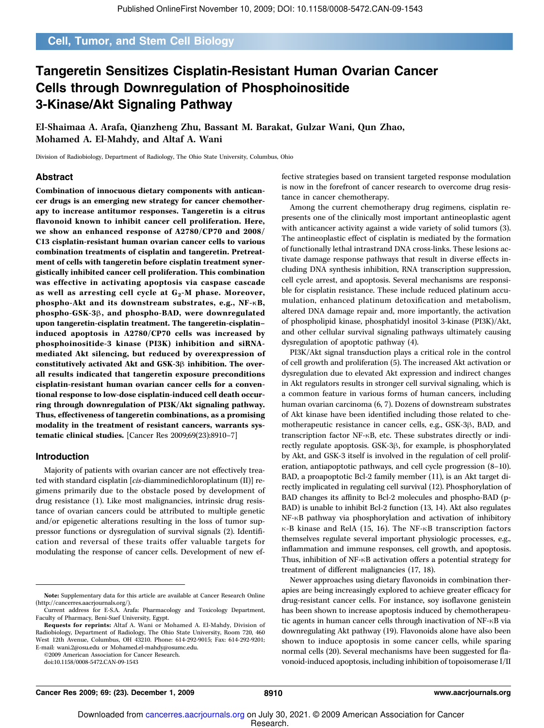### Cell, Tumor, and Stem Cell Biology

### Tangeretin Sensitizes Cisplatin-Resistant Human Ovarian Cancer Cells through Downregulation of Phosphoinositide 3-Kinase/Akt Signaling Pathway

El-Shaimaa A. Arafa, Qianzheng Zhu, Bassant M. Barakat, Gulzar Wani, Qun Zhao, Mohamed A. El-Mahdy, and Altaf A. Wani

Division of Radiobiology, Department of Radiology, The Ohio State University, Columbus, Ohio

#### Abstract

Combination of innocuous dietary components with anticancer drugs is an emerging new strategy for cancer chemotherapy to increase antitumor responses. Tangeretin is a citrus flavonoid known to inhibit cancer cell proliferation. Here, we show an enhanced response of A2780/CP70 and 2008/ C13 cisplatin-resistant human ovarian cancer cells to various combination treatments of cisplatin and tangeretin. Pretreatment of cells with tangeretin before cisplatin treatment synergistically inhibited cancer cell proliferation. This combination was effective in activating apoptosis via caspase cascade as well as arresting cell cycle at  $\mathsf{G}_2\text{-}\mathsf{M}$  phase. Moreover, phospho-Akt and its downstream substrates, e.g., NF-κB, phospho-GSK-3β, and phospho-BAD, were downregulated upon tangeretin-cisplatin treatment. The tangeretin-cisplatin– induced apoptosis in A2780/CP70 cells was increased by phosphoinositide-3 kinase (PI3K) inhibition and siRNAmediated Akt silencing, but reduced by overexpression of constitutively activated Akt and GSK-3β inhibition. The overall results indicated that tangeretin exposure preconditions cisplatin-resistant human ovarian cancer cells for a conventional response to low-dose cisplatin-induced cell death occurring through downregulation of PI3K/Akt signaling pathway. Thus, effectiveness of tangeretin combinations, as a promising modality in the treatment of resistant cancers, warrants systematic clinical studies. [Cancer Res 2009;69(23):8910–7]

#### Introduction

Majority of patients with ovarian cancer are not effectively treated with standard cisplatin [cis-diamminedichloroplatinum (II)] regimens primarily due to the obstacle posed by development of drug resistance (1). Like most malignancies, intrinsic drug resistance of ovarian cancers could be attributed to multiple genetic and/or epigenetic alterations resulting in the loss of tumor suppressor functions or dysregulation of survival signals (2). Identification and reversal of these traits offer valuable targets for modulating the response of cancer cells. Development of new ef-

©2009American Association for Cancer Research.

doi:10.1158/0008-5472.CAN-09-1543

fective strategies based on transient targeted response modulation is now in the forefront of cancer research to overcome drug resistance in cancer chemotherapy.

Among the current chemotherapy drug regimens, cisplatin represents one of the clinically most important antineoplastic agent with anticancer activity against a wide variety of solid tumors (3). The antineoplastic effect of cisplatin is mediated by the formation of functionally lethal intrastrand DNA cross-links. These lesions activate damage response pathways that result in diverse effects including DNA synthesis inhibition, RNA transcription suppression, cell cycle arrest, and apoptosis. Several mechanisms are responsible for cisplatin resistance. These include reduced platinum accumulation, enhanced platinum detoxification and metabolism, altered DNA damage repair and, more importantly, the activation of phospholipid kinase, phosphatidyl inositol 3-kinase (PI3K)/Akt, and other cellular survival signaling pathways ultimately causing dysregulation of apoptotic pathway (4).

PI3K/Akt signal transduction plays a critical role in the control of cell growth and proliferation (5). The increased Akt activation or dysregulation due to elevated Akt expression and indirect changes in Akt regulators results in stronger cell survival signaling, which is a common feature in various forms of human cancers, including human ovarian carcinoma (6, 7). Dozens of downstream substrates of Akt kinase have been identified including those related to chemotherapeutic resistance in cancer cells, e.g., GSK-3β, BAD, and transcription factor NF-κB, etc. These substrates directly or indirectly regulate apoptosis. GSK-3β, for example, is phosphorylated by Akt, and GSK-3 itself is involved in the regulation of cell proliferation, antiapoptotic pathways, and cell cycle progression (8–10). BAD, a proapoptotic Bcl-2 family member (11), is an Akt target directly implicated in regulating cell survival (12). Phosphorylation of BAD changes its affinity to Bcl-2 molecules and phospho-BAD (p-BAD) is unable to inhibit Bcl-2 function (13, 14). Akt also regulates NF-κB pathway via phosphorylation and activation of inhibitory κ-B kinase and RelA (15, 16). The NF-κB transcription factors themselves regulate several important physiologic processes, e.g., inflammation and immune responses, cell growth, and apoptosis. Thus, inhibition of NF-κB activation offers a potential strategy for treatment of different malignancies (17, 18).

Newer approaches using dietary flavonoids in combination therapies are being increasingly explored to achieve greater efficacy for drug-resistant cancer cells. For instance, soy isoflavone genistein has been shown to increase apoptosis induced by chemotherapeutic agents in human cancer cells through inactivation of NF-κB via downregulating Akt pathway (19). Flavonoids alone have also been shown to induce apoptosis in some cancer cells, while sparing normal cells (20). Several mechanisms have been suggested for flavonoid-induced apoptosis, including inhibition of topoisomerase I/II

Note: Supplementary data for this article are available at Cancer Research Online (http://cancerres.aacrjournals.org/).

Current address for E-S.A. Arafa: Pharmacology and Toxicology Department, Faculty of Pharmacy, Beni-Suef University, Egypt.

Requests for reprints: Altaf A. Wani or Mohamed A. El-Mahdy, Division of Radiobiology, Department of Radiology, The Ohio State University, Room 720, 460 West 12th Avenue, Columbus, OH 43210. Phone: 614-292-9015; Fax: 614-292-9201; E-mail: wani.2@osu.edu or Mohamed.el-mahdy@osumc.edu.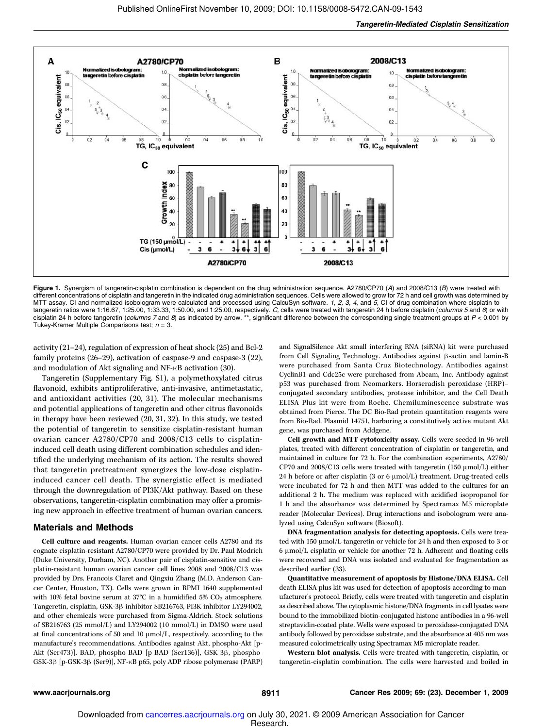

Figure 1. Synergism of tangeretin-cisplatin combination is dependent on the drug administration sequence. A2780/CP70 (A) and 2008/C13 (B) were treated with different concentrations of cisplatin and tangeretin in the indicated drug administration sequences. Cells were allowed to grow for 72 h and cell growth was determined by MTT assay. CI and normalized isobologram were calculated and processed using CalcuSyn software. 1, 2, 3, 4, and 5, CI of drug combination where cisplatin to tangeretin ratios were 1:16.67, 1:25.00, 1:33.33, 1:50.00, and 1:25.00, respectively. C, cells were treated with tangeretin 24 h before cisplatin (columns 5 and 6) or with cisplatin 24 h before tangeretin (columns 7 and 8) as indicated by arrow. \*\*, significant difference between the corresponding single treatment groups at  $P < 0.001$  by Tukey-Kramer Multiple Comparisons test;  $n = 3$ .

activity (21–24), regulation of expression of heat shock (25) and Bcl-2 family proteins (26–29), activation of caspase-9 and caspase-3 (22), and modulation of Akt signaling and NF-κB activation (30).

Tangeretin (Supplementary Fig. S1), a polymethoxylated citrus flavonoid, exhibits antiproliferative, anti-invasive, antimetastatic, and antioxidant activities (20, 31). The molecular mechanisms and potential applications of tangeretin and other citrus flavonoids in therapy have been reviewed (20, 31, 32). In this study, we tested the potential of tangeretin to sensitize cisplatin-resistant human ovarian cancer A2780/CP70 and 2008/C13 cells to cisplatininduced cell death using different combination schedules and identified the underlying mechanism of its action. The results showed that tangeretin pretreatment synergizes the low-dose cisplatininduced cancer cell death. The synergistic effect is mediated through the downregulation of PI3K/Akt pathway. Based on these observations, tangeretin-cisplatin combination may offer a promising new approach in effective treatment of human ovarian cancers.

#### Materials and Methods

Cell culture and reagents. Human ovarian cancer cells A2780 and its cognate cisplatin-resistant A2780/CP70 were provided by Dr. Paul Modrich (Duke University, Durham, NC). Another pair of cisplatin-sensitive and cisplatin-resistant human ovarian cancer cell lines 2008 and 2008/C13 was provided by Drs. Francois Claret and Qingxiu Zhang (M.D. Anderson Cancer Center, Houston, TX). Cells were grown in RPMI 1640 supplemented with 10% fetal bovine serum at 37°C in a humidified 5%  $CO<sub>2</sub>$  atmosphere. Tangeretin, cisplatin, GSK-3β inhibitor SB216763, PI3K inhibitor LY294002, and other chemicals were purchased from Sigma-Aldrich. Stock solutions of SB216763 (25 mmol/L) and LY294002 (10 mmol/L) in DMSO were used at final concentrations of 50 and 10 μmol/L, respectively, according to the manufacture's recommendations. Antibodies against Akt, phospho-Akt [p-Akt (Ser473)], BAD, phospho-BAD [p-BAD (Ser136)], GSK-3β, phospho-GSK-3β [p-GSK-3β (Ser9)], NF-κB p65, poly ADP ribose polymerase (PARP) and SignalSilence Akt small interfering RNA (siRNA) kit were purchased from Cell Signaling Technology. Antibodies against β-actin and lamin-B were purchased from Santa Cruz Biotechnology. Antibodies against CyclinB1 and Cdc25c were purchased from Abcam, Inc. Antibody against p53 was purchased from Neomarkers. Horseradish peroxidase (HRP)– conjugated secondary antibodies, protease inhibitor, and the Cell Death ELISA Plus kit were from Roche. Chemiluminescence substrate was obtained from Pierce. The DC Bio-Rad protein quantitation reagents were from Bio-Rad. Plasmid 14751, harboring a constitutively active mutant Akt gene, was purchased from Addgene.

Cell growth and MTT cytotoxicity assay. Cells were seeded in 96-well plates, treated with different concentration of cisplatin or tangeretin, and maintained in culture for 72 h. For the combination experiments, A2780/ CP70 and  $2008/C13$  cells were treated with tangeretin (150  $\mu$ mol/L) either 24 h before or after cisplatin (3 or 6 μmol/L) treatment. Drug-treated cells were incubated for 72 h and then MTT was added to the cultures for an additional 2 h. The medium was replaced with acidified isopropanol for 1 h and the absorbance was determined by Spectramax M5 microplate reader (Molecular Devices). Drug interactions and isobologram were analyzed using CalcuSyn software (Biosoft).

DNA fragmentation analysis for detecting apoptosis. Cells were treated with 150 μmol/L tangeretin or vehicle for 24 h and then exposed to 3 or 6 μmol/L cisplatin or vehicle for another 72 h. Adherent and floating cells were recovered and DNA was isolated and evaluated for fragmentation as described earlier (33).

Quantitative measurement of apoptosis by Histone/DNA ELISA. Cell death ELISA plus kit was used for detection of apoptosis according to manufacturer's protocol. Briefly, cells were treated with tangeretin and cisplatin as described above. The cytoplasmic histone/DNA fragments in cell lysates were bound to the immobilized biotin-conjugated histone antibodies in a 96-well streptavidin-coated plate. Wells were exposed to peroxidase-conjugated DNA antibody followed by peroxidase substrate, and the absorbance at 405 nm was measured colorimetrically using Spectramax M5 microplate reader.

Western blot analysis. Cells were treated with tangeretin, cisplatin, or tangeretin-cisplatin combination. The cells were harvested and boiled in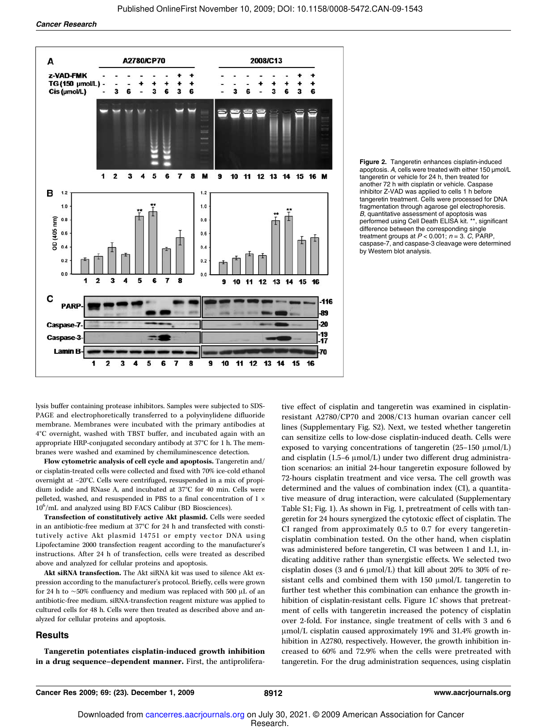Cancer Research





lysis buffer containing protease inhibitors. Samples were subjected to SDS-PAGE and electrophoretically transferred to a polyvinylidene difluoride membrane. Membranes were incubated with the primary antibodies at 4°C overnight, washed with TBST buffer, and incubated again with an appropriate HRP-conjugated secondary antibody at 37°C for 1 h. The membranes were washed and examined by chemiluminescence detection.

Flow cytometric analysis of cell cycle and apoptosis. Tangeretin and/ or cisplatin-treated cells were collected and fixed with 70% ice-cold ethanol overnight at −20°C. Cells were centrifuged, resuspended in a mix of propidium iodide and RNase A, and incubated at 37°C for 40 min. Cells were pelleted, washed, and resuspended in PBS to a final concentration of 1 × 10<sup>6</sup> /mL and analyzed using BD FACS Calibur (BD Biosciences).

Transfection of constitutively active Akt plasmid. Cells were seeded in an antibiotic-free medium at 37°C for 24 h and transfected with constitutively active Akt plasmid 14751 or empty vector DNA using Lipofectamine 2000 transfection reagent according to the manufacturer's instructions. After 24 h of transfection, cells were treated as described above and analyzed for cellular proteins and apoptosis.

Akt siRNA transfection. The Akt siRNA kit was used to silence Akt expression according to the manufacturer's protocol. Briefly, cells were grown for 24 h to ∼50% confluency and medium was replaced with 500 μL of an antibiotic-free medium. siRNA-transfection reagent mixture was applied to cultured cells for 48 h. Cells were then treated as described above and analyzed for cellular proteins and apoptosis.

#### **Results**

Tangeretin potentiates cisplatin-induced growth inhibition in a drug sequence–dependent manner. First, the antiproliferative effect of cisplatin and tangeretin was examined in cisplatinresistant A2780/CP70 and 2008/C13 human ovarian cancer cell lines (Supplementary Fig. S2). Next, we tested whether tangeretin can sensitize cells to low-dose cisplatin-induced death. Cells were exposed to varying concentrations of tangeretin (25–150 μmol/L) and cisplatin (1.5–6 μmol/L) under two different drug administration scenarios: an initial 24-hour tangeretin exposure followed by 72-hours cisplatin treatment and vice versa. The cell growth was determined and the values of combination index (CI), a quantitative measure of drug interaction, were calculated (Supplementary Table S1; Fig. 1). As shown in Fig. 1, pretreatment of cells with tangeretin for 24 hours synergized the cytotoxic effect of cisplatin. The CI ranged from approximately 0.5 to 0.7 for every tangeretincisplatin combination tested. On the other hand, when cisplatin was administered before tangeretin, CI was between 1 and 1.1, indicating additive rather than synergistic effects. We selected two cisplatin doses (3 and 6 μmol/L) that kill about 20% to 30% of resistant cells and combined them with 150 μmol/L tangeretin to further test whether this combination can enhance the growth inhibition of cisplatin-resistant cells. Figure 1C shows that pretreatment of cells with tangeretin increased the potency of cisplatin over 2-fold. For instance, single treatment of cells with 3 and 6 μmol/L cisplatin caused approximately 19% and 31.4% growth inhibition in A2780, respectively. However, the growth inhibition increased to 60% and 72.9% when the cells were pretreated with tangeretin. For the drug administration sequences, using cisplatin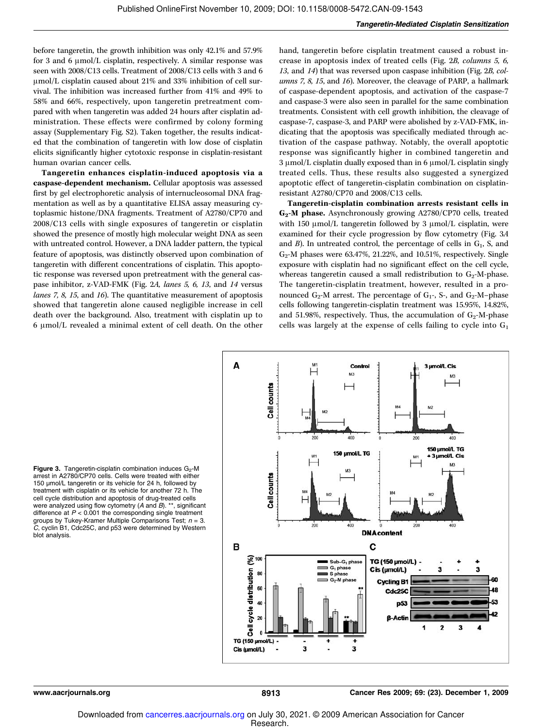before tangeretin, the growth inhibition was only 42.1% and 57.9% for 3 and 6 μmol/L cisplatin, respectively. A similar response was seen with 2008/C13 cells. Treatment of 2008/C13 cells with 3 and 6 μmol/L cisplatin caused about 21% and 33% inhibition of cell survival. The inhibition was increased further from 41% and 49% to 58% and 66%, respectively, upon tangeretin pretreatment compared with when tangeretin was added 24 hours after cisplatin administration. These effects were confirmed by colony forming assay (Supplementary Fig. S2). Taken together, the results indicated that the combination of tangeretin with low dose of cisplatin elicits significantly higher cytotoxic response in cisplatin-resistant human ovarian cancer cells.

Tangeretin enhances cisplatin-induced apoptosis via a caspase-dependent mechanism. Cellular apoptosis was assessed first by gel electrophoretic analysis of internucleosomal DNA fragmentation as well as by a quantitative ELISA assay measuring cytoplasmic histone/DNA fragments. Treatment of A2780/CP70 and 2008/C13 cells with single exposures of tangeretin or cisplatin showed the presence of mostly high molecular weight DNA as seen with untreated control. However, a DNA ladder pattern, the typical feature of apoptosis, was distinctly observed upon combination of tangeretin with different concentrations of cisplatin. This apoptotic response was reversed upon pretreatment with the general caspase inhibitor, z-VAD-FMK (Fig. 2A, lanes 5, 6, 13, and 14 versus lanes 7, 8, 15, and 16). The quantitative measurement of apoptosis showed that tangeretin alone caused negligible increase in cell death over the background. Also, treatment with cisplatin up to 6 μmol/L revealed a minimal extent of cell death. On the other

hand, tangeretin before cisplatin treatment caused a robust increase in apoptosis index of treated cells (Fig. 2B, columns 5, 6, 13, and 14) that was reversed upon caspase inhibition (Fig. 2B, columns 7, 8, 15, and 16). Moreover, the cleavage of PARP, a hallmark of caspase-dependent apoptosis, and activation of the caspase-7 and caspase-3 were also seen in parallel for the same combination treatments. Consistent with cell growth inhibition, the cleavage of caspase-7, caspase-3, and PARP were abolished by z-VAD-FMK, indicating that the apoptosis was specifically mediated through activation of the caspase pathway. Notably, the overall apoptotic response was significantly higher in combined tangeretin and 3 μmol/L cisplatin dually exposed than in 6 μmol/L cisplatin singly treated cells. Thus, these results also suggested a synergized apoptotic effect of tangeretin-cisplatin combination on cisplatinresistant A2780/CP70 and 2008/C13 cells.

Tangeretin-cisplatin combination arrests resistant cells in G2 -M phase. Asynchronously growing A2780/CP70 cells, treated with 150 μmol/L tangeretin followed by 3 μmol/L cisplatin, were examined for their cycle progression by flow cytometry (Fig. 3A and  $B$ ). In untreated control, the percentage of cells in  $G_1$ , S, and G2 -M phases were 63.47%, 21.22%, and 10.51%, respectively. Single exposure with cisplatin had no significant effect on the cell cycle, whereas tangeretin caused a small redistribution to  $G_2$ -M-phase. The tangeretin-cisplatin treatment, however, resulted in a pronounced  $G_2$ -M arrest. The percentage of  $G_1$ -, S-, and  $G_2$ -M-phase cells following tangeretin-cisplatin treatment was 15.95%, 14.82%, and 51.98%, respectively. Thus, the accumulation of  $G_2$ -M-phase cells was largely at the expense of cells failing to cycle into  $G_1$ 

Figure 3. Tangeretin-cisplatin combination induces  $G_2$ -M arrest in A2780/CP70 cells. Cells were treated with either 150 μmol/L tangeretin or its vehicle for 24 h, followed by treatment with cisplatin or its vehicle for another 72 h. The cell cycle distribution and apoptosis of drug-treated cells were analyzed using flow cytometry ( $A$  and  $B$ ). \*\*, significant difference at  $P < 0.001$  the corresponding single treatment groups by Tukey-Kramer Multiple Comparisons Test;  $n = 3$ .<br>C, cyclin B1, Cdc25C, and p53 were determined by Western blot analysis.

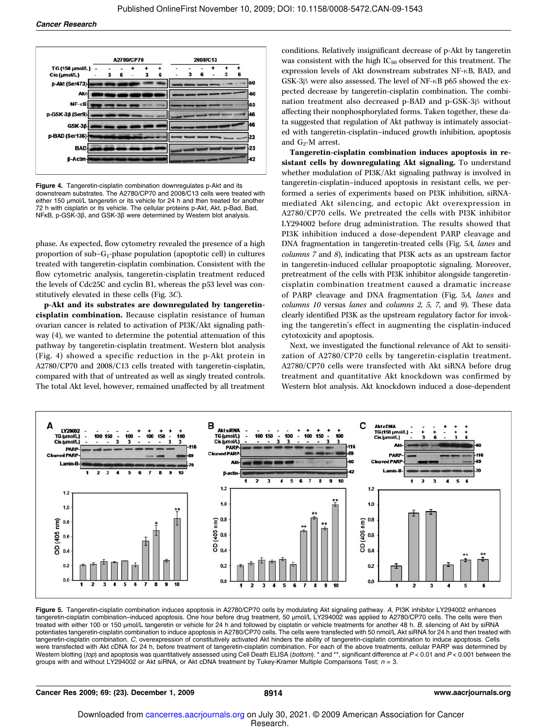

Figure 4. Tangeretin-cisplatin combination downregulates p-Akt and its downstream substrates. The A2780/CP70 and 2008/C13 cells were treated with either 150 μmol/L tangeretin or its vehicle for 24 h and then treated for another 72 h with cisplatin or its vehicle. The cellular proteins p-Akt, Akt, p-Bad, Bad, NFκB, p-GSK-3β, and GSK-3β were determined by Western blot analysis.

phase. As expected, flow cytometry revealed the presence of a high proportion of sub-G<sub>1</sub>-phase population (apoptotic cell) in cultures treated with tangeretin-cisplatin combination. Consistent with the flow cytometric analysis, tangeretin-cisplatin treatment reduced the levels of Cdc25C and cyclin B1, whereas the p53 level was constitutively elevated in these cells (Fig. 3C).

p-Akt and its substrates are downregulated by tangeretincisplatin combination. Because cisplatin resistance of human ovarian cancer is related to activation of PI3K/Akt signaling pathway (4), we wanted to determine the potential attenuation of this pathway by tangeretin-cisplatin treatment. Western blot analysis (Fig. 4) showed a specific reduction in the p-Akt protein in A2780/CP70 and 2008/C13 cells treated with tangeretin-cisplatin, compared with that of untreated as well as singly treated controls. The total Akt level, however, remained unaffected by all treatment conditions. Relatively insignificant decrease of p-Akt by tangeretin was consistent with the high  $IC_{50}$  observed for this treatment. The expression levels of Akt downstream substrates NF-κB, BAD, and GSK-3β were also assessed. The level of NF-κB p65 showed the expected decrease by tangeretin-cisplatin combination. The combination treatment also decreased p-BAD and p-GSK-3β without affecting their nonphosphorylated forms. Taken together, these data suggested that regulation of Akt pathway is intimately associated with tangeretin-cisplatin–induced growth inhibition, apoptosis and  $G_2$ -M arrest.

Tangeretin-cisplatin combination induces apoptosis in resistant cells by downregulating Akt signaling. To understand whether modulation of PI3K/Akt signaling pathway is involved in tangeretin-cisplatin–induced apoptosis in resistant cells, we performed a series of experiments based on PI3K inhibition, siRNAmediated Akt silencing, and ectopic Akt overexpression in A2780/CP70 cells. We pretreated the cells with PI3K inhibitor LY294002 before drug administration. The results showed that PI3K inhibition induced a dose-dependent PARP cleavage and DNA fragmentation in tangeretin-treated cells (Fig. 5A, lanes and columns 7 and 8), indicating that PI3K acts as an upstream factor in tangeretin-induced cellular proapoptotic signaling. Moreover, pretreatment of the cells with PI3K inhibitor alongside tangeretincisplatin combination treatment caused a dramatic increase of PARP cleavage and DNA fragmentation (Fig. 5A, lanes and columns 10 versus lanes and columns 2, 5, 7, and 9). These data clearly identified PI3K as the upstream regulatory factor for invoking the tangeretin's effect in augmenting the cisplatin-induced cytotoxicity and apoptosis.

Next, we investigated the functional relevance of Akt to sensitization of A2780/CP70 cells by tangeretin-cisplatin treatment. A2780/CP70 cells were transfected with Akt siRNA before drug treatment and quantitative Akt knockdown was confirmed by Western blot analysis. Akt knockdown induced a dose-dependent



Figure 5. Tangeretin-cisplatin combination induces apoptosis in A2780/CP70 cells by modulating Akt signaling pathway. A, PI3K inhibitor LY294002 enhances tangeretin-cisplatin combination–induced apoptosis. One hour before drug treatment, 50 μmol/L LY294002 was applied to A2780/CP70 cells. The cells were then treated with either 100 or 150 μmol/L tangeretin or vehicle for 24 h and followed by cisplatin or vehicle treatments for another 48 h. B, silencing of Akt by siRNA potentiates tangeretin-cisplatin combination to induce apoptosis in A2780/CP70 cells. The cells were transfected with 50 nmol/L Akt siRNA for 24 h and then treated with tangeretin-cisplatin combination. C, overexpression of constitutively activated Akt hinders the ability of tangeretin-cisplatin combination to induce apoptosis. Cells were transfected with Akt cDNA for 24 h, before treatment of tangeretin-cisplatin combination. For each of the above treatments, cellular PARP was determined by Western blotting (top) and apoptosis was quantitatively assessed using Cell Death ELISA (bottom). \* and \*\*, significant difference at  $P < 0.01$  and  $P < 0.001$  between the groups with and without LY294002 or Akt siRNA, or Akt cDNA treatment by Tukey-Kramer Multiple Comparisons Test;  $n = 3$ .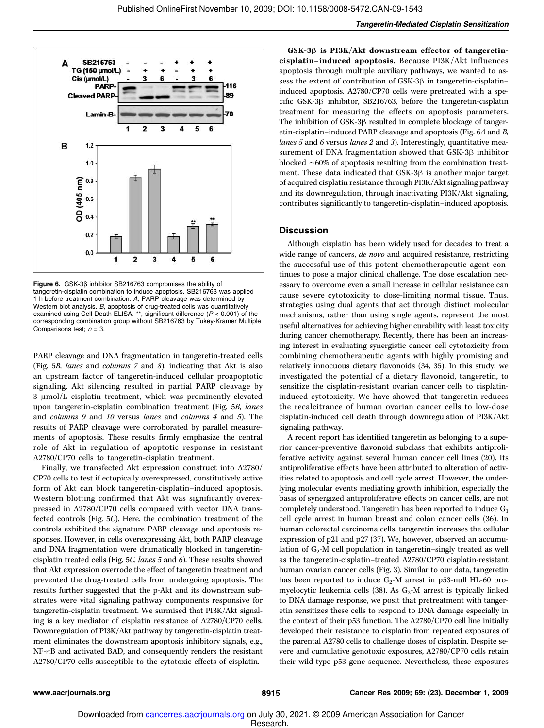

Figure 6. GSK-3β inhibitor SB216763 compromises the ability of tangeretin-cisplatin combination to induce apoptosis. SB216763 was applied 1 h before treatment combination. A, PARP cleavage was determined by Western blot analysis. B, apoptosis of drug-treated cells was quantitatively examined using Cell Death ELISA. \*\*, significant difference (P < 0.001) of the corresponding combination group without SB216763 by Tukey-Kramer Multiple Comparisons test;  $n = 3$ .

PARP cleavage and DNA fragmentation in tangeretin-treated cells (Fig. 5B, lanes and columns 7 and 8), indicating that Akt is also an upstream factor of tangeretin-induced cellular proapoptotic signaling. Akt silencing resulted in partial PARP cleavage by 3 μmol/L cisplatin treatment, which was prominently elevated upon tangeretin-cisplatin combination treatment (Fig. 5B, lanes and columns 9 and 10 versus lanes and columns 4 and 5). The results of PARP cleavage were corroborated by parallel measurements of apoptosis. These results firmly emphasize the central role of Akt in regulation of apoptotic response in resistant A2780/CP70 cells to tangeretin-cisplatin treatment.

Finally, we transfected Akt expression construct into A2780/ CP70 cells to test if ectopically overexpressed, constitutively active form of Akt can block tangeretin-cisplatin–induced apoptosis. Western blotting confirmed that Akt was significantly overexpressed in A2780/CP70 cells compared with vector DNA transfected controls (Fig. 5C). Here, the combination treatment of the controls exhibited the signature PARP cleavage and apoptosis responses. However, in cells overexpressing Akt, both PARP cleavage and DNA fragmentation were dramatically blocked in tangeretincisplatin treated cells (Fig. 5C, lanes 5 and 6). These results showed that Akt expression overrode the effect of tangeretin treatment and prevented the drug-treated cells from undergoing apoptosis. The results further suggested that the p-Akt and its downstream substrates were vital signaling pathway components responsive for tangeretin-cisplatin treatment. We surmised that PI3K/Akt signaling is a key mediator of cisplatin resistance of A2780/CP70 cells. Downregulation of PI3K/Akt pathway by tangeretin-cisplatin treatment eliminates the downstream apoptosis inhibitory signals, e.g., NF-κB and activated BAD, and consequently renders the resistant A2780/CP70 cells susceptible to the cytotoxic effects of cisplatin.

GSK-3β is PI3K/Akt downstream effector of tangeretincisplatin–induced apoptosis. Because PI3K/Akt influences apoptosis through multiple auxiliary pathways, we wanted to assess the extent of contribution of GSK-3β in tangeretin-cisplatin– induced apoptosis. A2780/CP70 cells were pretreated with a specific GSK-3β inhibitor, SB216763, before the tangeretin-cisplatin treatment for measuring the effects on apoptosis parameters. The inhibition of GSK-3β resulted in complete blockage of tangeretin-cisplatin–induced PARP cleavage and apoptosis (Fig. 6A and B, lanes 5 and 6 versus lanes 2 and 3). Interestingly, quantitative measurement of DNA fragmentation showed that GSK-3β inhibitor blocked ∼60% of apoptosis resulting from the combination treatment. These data indicated that GSK-3β is another major target of acquired cisplatin resistance through PI3K/Akt signaling pathway and its downregulation, through inactivating PI3K/Akt signaling, contributes significantly to tangeretin-cisplatin–induced apoptosis.

#### **Discussion**

Although cisplatin has been widely used for decades to treat a wide range of cancers, de novo and acquired resistance, restricting the successful use of this potent chemotherapeutic agent continues to pose a major clinical challenge. The dose escalation necessary to overcome even a small increase in cellular resistance can cause severe cytotoxicity to dose-limiting normal tissue. Thus, strategies using dual agents that act through distinct molecular mechanisms, rather than using single agents, represent the most useful alternatives for achieving higher curability with least toxicity during cancer chemotherapy. Recently, there has been an increasing interest in evaluating synergistic cancer cell cytotoxicity from combining chemotherapeutic agents with highly promising and relatively innocuous dietary flavonoids (34, 35). In this study, we investigated the potential of a dietary flavonoid, tangeretin, to sensitize the cisplatin-resistant ovarian cancer cells to cisplatininduced cytotoxicity. We have showed that tangeretin reduces the recalcitrance of human ovarian cancer cells to low-dose cisplatin-induced cell death through downregulation of PI3K/Akt signaling pathway.

A recent report has identified tangeretin as belonging to a superior cancer-preventive flavonoid subclass that exhibits antiproliferative activity against several human cancer cell lines (20). Its antiproliferative effects have been attributed to alteration of activities related to apoptosis and cell cycle arrest. However, the underlying molecular events mediating growth inhibition, especially the basis of synergized antiproliferative effects on cancer cells, are not completely understood. Tangeretin has been reported to induce  $G_1$ cell cycle arrest in human breast and colon cancer cells (36). In human colorectal carcinoma cells, tangeretin increases the cellular expression of p21 and p27 (37). We, however, observed an accumulation of  $G_2$ -M cell population in tangeretin-singly treated as well as the tangeretin-cisplatin–treated A2780/CP70 cisplatin-resistant human ovarian cancer cells (Fig. 3). Similar to our data, tangeretin has been reported to induce  $G_2$ -M arrest in p53-null HL-60 promyelocytic leukemia cells (38). As  $G_2$ -M arrest is typically linked to DNA damage response, we posit that pretreatment with tangeretin sensitizes these cells to respond to DNA damage especially in the context of their p53 function. The A2780/CP70 cell line initially developed their resistance to cisplatin from repeated exposures of the parental A2780 cells to challenge doses of cisplatin. Despite severe and cumulative genotoxic exposures, A2780/CP70 cells retain their wild-type p53 gene sequence. Nevertheless, these exposures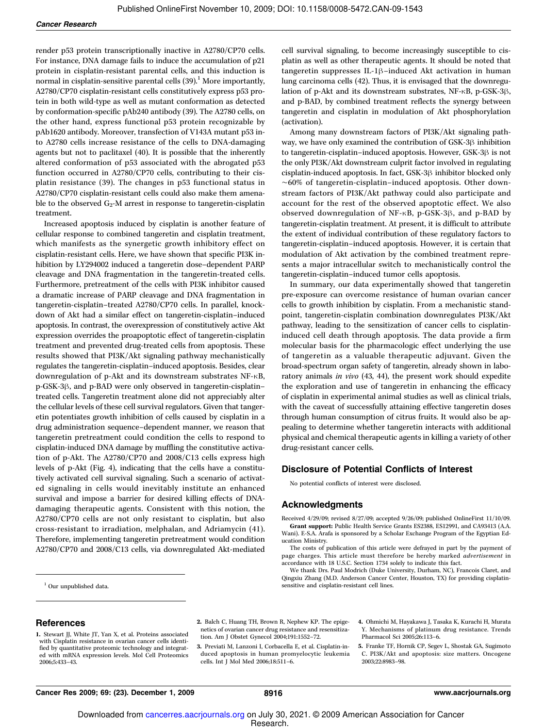render p53 protein transcriptionally inactive in A2780/CP70 cells. For instance, DNA damage fails to induce the accumulation of p21 protein in cisplatin-resistant parental cells, and this induction is normal in cisplatin-sensitive parental cells  $(39)$ .<sup>1</sup> More importantly, A2780/CP70 cisplatin-resistant cells constitutively express p53 protein in both wild-type as well as mutant conformation as detected by conformation-specific pAb240 antibody (39). The A2780 cells, on the other hand, express functional p53 protein recognizable by pAb1620 antibody. Moreover, transfection of V143A mutant p53 into A2780 cells increase resistance of the cells to DNA-damaging agents but not to paclitaxel (40). It is possible that the inherently altered conformation of p53 associated with the abrogated p53 function occurred in A2780/CP70 cells, contributing to their cisplatin resistance (39). The changes in p53 functional status in A2780/CP70 cisplatin-resistant cells could also make them amenable to the observed  $G_2$ -M arrest in response to tangeretin-cisplatin treatment.

Increased apoptosis induced by cisplatin is another feature of cellular response to combined tangeretin and cisplatin treatment, which manifests as the synergetic growth inhibitory effect on cisplatin-resistant cells. Here, we have shown that specific PI3K inhibition by LY294002 induced a tangeretin dose–dependent PARP cleavage and DNA fragmentation in the tangeretin-treated cells. Furthermore, pretreatment of the cells with PI3K inhibitor caused a dramatic increase of PARP cleavage and DNA fragmentation in tangeretin-cisplatin–treated A2780/CP70 cells. In parallel, knockdown of Akt had a similar effect on tangeretin-cisplatin–induced apoptosis. In contrast, the overexpression of constitutively active Akt expression overrides the proapoptotic effect of tangeretin-cisplatin treatment and prevented drug-treated cells from apoptosis. These results showed that PI3K/Akt signaling pathway mechanistically regulates the tangeretin-cisplatin–induced apoptosis. Besides, clear downregulation of p-Akt and its downstream substrates NF-κB, p-GSK-3β, and p-BAD were only observed in tangeretin-cisplatin– treated cells. Tangeretin treatment alone did not appreciably alter the cellular levels of these cell survival regulators. Given that tangeretin potentiates growth inhibition of cells caused by cisplatin in a drug administration sequence–dependent manner, we reason that tangeretin pretreatment could condition the cells to respond to cisplatin-induced DNA damage by muffling the constitutive activation of p-Akt. The A2780/CP70 and 2008/C13 cells express high levels of p-Akt (Fig. 4), indicating that the cells have a constitutively activated cell survival signaling. Such a scenario of activated signaling in cells would inevitably institute an enhanced survival and impose a barrier for desired killing effects of DNAdamaging therapeutic agents. Consistent with this notion, the A2780/CP70 cells are not only resistant to cisplatin, but also cross-resistant to irradiation, melphalan, and Adriamycin (41). Therefore, implementing tangeretin pretreatment would condition A2780/CP70 and 2008/C13 cells, via downregulated Akt-mediated

<sup>1</sup> Our unpublished data.

cell survival signaling, to become increasingly susceptible to cisplatin as well as other therapeutic agents. It should be noted that tangeretin suppresses IL-1β–induced Akt activation in human lung carcinoma cells (42). Thus, it is envisaged that the downregulation of p-Akt and its downstream substrates, NF-κB, p-GSK-3β, and p-BAD, by combined treatment reflects the synergy between tangeretin and cisplatin in modulation of Akt phosphorylation (activation).

Among many downstream factors of PI3K/Akt signaling pathway, we have only examined the contribution of GSK-3β inhibition to tangeretin-cisplatin–induced apoptosis. However, GSK-3β is not the only PI3K/Akt downstream culprit factor involved in regulating cisplatin-induced apoptosis. In fact, GSK-3β inhibitor blocked only ∼60% of tangeretin-cisplatin–induced apoptosis. Other downstream factors of PI3K/Akt pathway could also participate and account for the rest of the observed apoptotic effect. We also observed downregulation of NF-κB, p-GSK-3β, and p-BAD by tangeretin-cisplatin treatment. At present, it is difficult to attribute the extent of individual contribution of these regulatory factors to tangeretin-cisplatin–induced apoptosis. However, it is certain that modulation of Akt activation by the combined treatment represents a major intracellular switch to mechanistically control the tangeretin-cisplatin–induced tumor cells apoptosis.

In summary, our data experimentally showed that tangeretin pre-exposure can overcome resistance of human ovarian cancer cells to growth inhibition by cisplatin. From a mechanistic standpoint, tangeretin-cisplatin combination downregulates PI3K/Akt pathway, leading to the sensitization of cancer cells to cisplatininduced cell death through apoptosis. The data provide a firm molecular basis for the pharmacologic effect underlying the use of tangeretin as a valuable therapeutic adjuvant. Given the broad-spectrum organ safety of tangeretin, already shown in laboratory animals in vivo (43, 44), the present work should expedite the exploration and use of tangeretin in enhancing the efficacy of cisplatin in experimental animal studies as well as clinical trials, with the caveat of successfully attaining effective tangeretin doses through human consumption of citrus fruits. It would also be appealing to determine whether tangeretin interacts with additional physical and chemical therapeutic agents in killing a variety of other drug-resistant cancer cells.

#### Disclosure of Potential Conflicts of Interest

No potential conflicts of interest were disclosed.

#### Acknowledgments

Received 4/29/09; revised 8/27/09; accepted 9/26/09; published OnlineFirst 11/10/09. Grant support: Public Health Service Grants ES2388, ES12991, and CA93413 (A.A. Wani). E-S.A. Arafa is sponsored by a Scholar Exchange Program of the Egyptian Ed-

ucation Ministry. The costs of publication of this article were defrayed in part by the payment of page charges. This article must therefore be hereby marked advertisement in accordance with 18 U.S.C. Section 1734 solely to indicate this fact.

We thank Drs. Paul Modrich (Duke University, Durham, NC), Francois Claret, and Qingxiu Zhang (M.D. Anderson Cancer Center, Houston, TX) for providing cisplatinsensitive and cisplatin-resistant cell lines.

#### References

2. Balch C, Huang TH, Brown R, Nephew KP. The epigenetics of ovarian cancer drug resistance and resensitization. Am J Obstet Gynecol 2004;191:1552–72.

- 3. Previati M, Lanzoni I, Corbacella E, et al. Cisplatin-induced apoptosis in human promyelocytic leukemia cells. Int J Mol Med 2006;18:511–6.
- 4. Ohmichi M, Hayakawa J, Tasaka K, Kurachi H, Murata Y. Mechanisms of platinum drug resistance. Trends Pharmacol Sci 2005;26:113–6.
- 5. Franke TF, Hornik CP, Segev L, Shostak GA, Sugimoto C. PI3K/Akt and apoptosis: size matters. Oncogene 2003;22:8983–98.

<sup>1.</sup> Stewart JJ, White JT, Yan X, et al. Proteins associated with Cisplatin resistance in ovarian cancer cells identified by quantitative proteomic technology and integrated with mRNA expression levels. Mol Cell Proteomics 2006;5:433–43.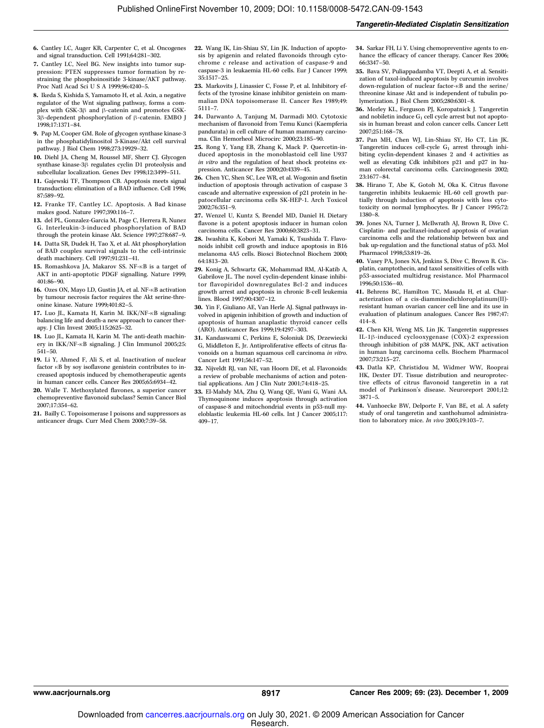- 6. Cantley LC, Auger KR, Carpenter C, et al. Oncogenes and signal transduction. Cell 1991;64:281–302.
- 7. Cantley LC, Neel BG. New insights into tumor suppression: PTEN suppresses tumor formation by restraining the phosphoinositide 3-kinase/AKT pathway. Proc Natl Acad Sci U S A 1999;96:4240–5.
- 8. Ikeda S, Kishida S, Yamamoto H, et al. Axin, a negative regulator of the Wnt signaling pathway, forms a complex with GSK-3β and β-catenin and promotes GSK-3β-dependent phosphorylation of β-catenin. EMBO J 1998;17:1371–84.
- 9. Pap M, Cooper GM. Role of glycogen synthase kinase-3 in the phosphatidylinositol 3-Kinase/Akt cell survival pathway. J Biol Chem 1998;273:19929–32.
- 10. Diehl JA, Cheng M, Roussel MF, Sherr CJ. Glycogen synthase kinase-3β regulates cyclin D1 proteolysis and subcellular localization. Genes Dev 1998;12:3499–511.
- 11. Gajewski TF, Thompson CB. Apoptosis meets signal transduction: elimination of a BAD influence. Cell 1996; 87:589–92.
- 12. Franke TF, Cantley LC. Apoptosis. A Bad kinase makes good. Nature 1997;390:116–7.
- 13. del PL, Gonzalez-Garcia M, Page C, Herrera R, Nunez G. Interleukin-3-induced phosphorylation of BAD through the protein kinase Akt. Science 1997;278:687–9.
- 14. Datta SR, Dudek H, Tao X, et al. Akt phosphorylation of BAD couples survival signals to the cell-intrinsic death machinery. Cell 1997;91:231–41.
- 15. Romashkova JA, Makarov SS. NF-κB is a target of AKT in anti-apoptotic PDGF signalling. Nature 1999; 401:86–90.
- 16. Ozes ON, Mayo LD, Gustin JA, et al. NF-κB activation by tumour necrosis factor requires the Akt serine-threonine kinase. Nature 1999;401:82–5.
- 17. Luo JL, Kamata H, Karin M. IKK/NF-κB signaling: balancing life and death-a new approach to cancer therapy. J Clin Invest 2005;115:2625–32.
- 18. Luo JL, Kamata H, Karin M. The anti-death machinery in IKK/NF-κB signaling. J Clin Immunol 2005;25: 541–50.
- 19. Li Y, Ahmed F, Ali S, et al. Inactivation of nuclear factor κB by soy isoflavone genistein contributes to increased apoptosis induced by chemotherapeutic agents in human cancer cells. Cancer Res 2005;65:6934–42.
- 20. Walle T. Methoxylated flavones, a superior cancer chemopreventive flavonoid subclass? Semin Cancer Biol 2007;17:354–62.
- 21. Bailly C. Topoisomerase I poisons and suppressors as anticancer drugs. Curr Med Chem 2000;7:39–58.
- 22. Wang IK, Lin-Shiau SY, Lin JK. Induction of apoptosis by apigenin and related flavonoids through cytochrome  $c$  release and activation of caspase-9 and caspase-3 in leukaemia HL-60 cells. Eur J Cancer 1999; 35:1517–25.
- 23. Markovits J, Linassier C, Fosse P, et al. Inhibitory effects of the tyrosine kinase inhibitor genistein on mammalian DNA topoisomerase II. Cancer Res 1989;49: 5111–7.
- 24. Darwanto A, Tanjung M, Darmadi MO. Cytotoxic mechanism of flavonoid from Temu Kunci (Kaempferia pandurata) in cell culture of human mammary carcinoma. Clin Hemorheol Microcirc 2000;23:185–90.
- 25. Rong Y, Yang EB, Zhang K, Mack P. Quercetin-induced apoptosis in the monoblastoid cell line U937 in vitro and the regulation of heat shock proteins expression. Anticancer Res 2000;20:4339–45.
- 26. Chen YC, Shen SC, Lee WR, et al. Wogonin and fisetin induction of apoptosis through activation of caspase 3 cascade and alternative expression of p21 protein in hepatocellular carcinoma cells SK-HEP-1. Arch Toxicol 2002;76:351–9.
- 27. Wenzel U, Kuntz S, Brendel MD, Daniel H. Dietary flavone is a potent apoptosis inducer in human colon carcinoma cells. Cancer Res 2000;60:3823–31.
- 28. Iwashita K, Kobori M, Yamaki K, Tsushida T. Flavonoids inhibit cell growth and induce apoptosis in B16 melanoma 4A5 cells. Biosci Biotechnol Biochem 2000; 64:1813–20.
- 29. Konig A, Schwartz GK, Mohammad RM, Al-Katib A, Gabrilove JL. The novel cyclin-dependent kinase inhibitor flavopiridol downregulates Bcl-2 and induces growth arrest and apoptosis in chronic B-cell leukemia lines. Blood 1997;90:4307–12.
- 30. Yin F, Giuliano AE, Van Herle AJ. Signal pathways involved in apigenin inhibition of growth and induction of apoptosis of human anaplastic thyroid cancer cells (ARO). Anticancer Res 1999;19:4297–303.
- 31. Kandaswami C, Perkins E, Soloniuk DS, Drzewiecki G, Middleton E, Jr. Antiproliferative effects of citrus flavonoids on a human squamous cell carcinoma in vitro. Cancer Lett 1991;56:147–52.
- 32. Nijveldt RJ, van NE, van Hoorn DE, et al. Flavonoids: a review of probable mechanisms of action and potential applications. Am J Clin Nutr 2001;74:418–25.
- 33. El-Mahdy MA, Zhu Q, Wang QE, Wani G, Wani AA. Thymoquinone induces apoptosis through activation of caspase-8 and mitochondrial events in p53-null myeloblastic leukemia HL-60 cells. Int J Cancer 2005;117: 409–17.
- 34. Sarkar FH, Li Y. Using chemopreventive agents to enhance the efficacy of cancer therapy. Cancer Res 2006; 66:3347–50.
- 35. Bava SV, Puliappadamba VT, Deepti A, et al. Sensitization of taxol-induced apoptosis by curcumin involves down-regulation of nuclear factor-κB and the serine/ threonine kinase Akt and is independent of tubulin polymerization. J Biol Chem 2005;280:6301–8.
- 36. Morley KL, Ferguson PJ, Koropatnick J. Tangeretin and nobiletin induce  $G_1$  cell cycle arrest but not apoptosis in human breast and colon cancer cells. Cancer Lett 2007;251:168–78.
- 37. Pan MH, Chen WJ, Lin-Shiau SY, Ho CT, Lin JK. Tangeretin induces cell-cycle  $G_1$  arrest through inhibiting cyclin-dependent kinases 2 and 4 activities as well as elevating Cdk inhibitors p21 and p27 in human colorectal carcinoma cells. Carcinogenesis 2002; 23:1677–84.
- 38. Hirano T, Abe K, Gotoh M, Oka K. Citrus flavone tangeretin inhibits leukaemic HL-60 cell growth partially through induction of apoptosis with less cytotoxicity on normal lymphocytes. Br J Cancer 1995;72: 1380–8.
- 39. Jones NA, Turner J, McIlwrath AJ, Brown R, Dive C. Cisplatin- and paclitaxel-induced apoptosis of ovarian carcinoma cells and the relationship between bax and bak up-regulation and the functional status of p53. Mol Pharmacol 1998;53:819–26.
- 40. Vasey PA, Jones NA, Jenkins S, Dive C, Brown R. Cisplatin, camptothecin, and taxol sensitivities of cells with p53-associated multidrug resistance. Mol Pharmacol 1996;50:1536–40.
- 41. Behrens BC, Hamilton TC, Masuda H, et al. Characterization of a cis-diamminedichloroplatinum(II) resistant human ovarian cancer cell line and its use in evaluation of platinum analogues. Cancer Res 1987;47: 414–8.
- 42. Chen KH, Weng MS, Lin JK. Tangeretin suppresses IL-1β-induced cyclooxygenase (COX)-2 expression through inhibition of p38 MAPK, JNK, AKT activation in human lung carcinoma cells. Biochem Pharmacol 2007;73:215–27.
- 43. Datla KP, Christidou M, Widmer WW, Rooprai HK, Dexter DT. Tissue distribution and neuroprotective effects of citrus flavonoid tangeretin in a rat model of Parkinson's disease. Neuroreport 2001;12: 3871–5.
- 44. Vanhoecke BW, Delporte F, Van BE, et al. A safety study of oral tangeretin and xanthohumol administration to laboratory mice. In vivo 2005;19:103-7.